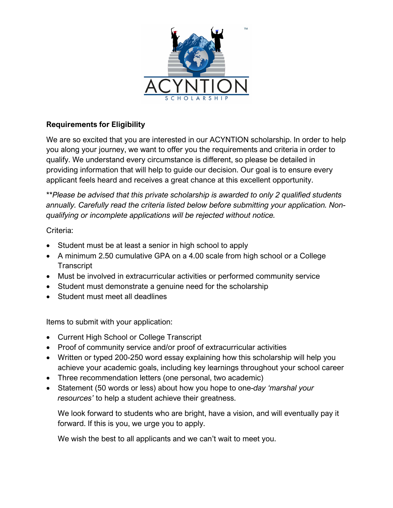

## **Requirements for Eligibility**

We are so excited that you are interested in our ACYNTION scholarship. In order to help you along your journey, we want to offer you the requirements and criteria in order to qualify. We understand every circumstance is different, so please be detailed in providing information that will help to guide our decision. Our goal is to ensure every applicant feels heard and receives a great chance at this excellent opportunity.

*\*\*Please be advised that this private scholarship is awarded to only 2 qualified students annually. Carefully read the criteria listed below before submitting your application. Nonqualifying or incomplete applications will be rejected without notice.*

## Criteria:

- Student must be at least a senior in high school to apply
- A minimum 2.50 cumulative GPA on a 4.00 scale from high school or a College **Transcript**
- Must be involved in extracurricular activities or performed community service
- Student must demonstrate a genuine need for the scholarship
- Student must meet all deadlines

Items to submit with your application:

- Current High School or College Transcript
- Proof of community service and/or proof of extracurricular activities
- Written or typed 200-250 word essay explaining how this scholarship will help you achieve your academic goals, including key learnings throughout your school career
- Three recommendation letters (one personal, two academic)
- Statement (50 words or less) about how you hope to one-*day 'marshal your resources'* to help a student achieve their greatness.

We look forward to students who are bright, have a vision, and will eventually pay it forward. If this is you, we urge you to apply.

We wish the best to all applicants and we can't wait to meet you.